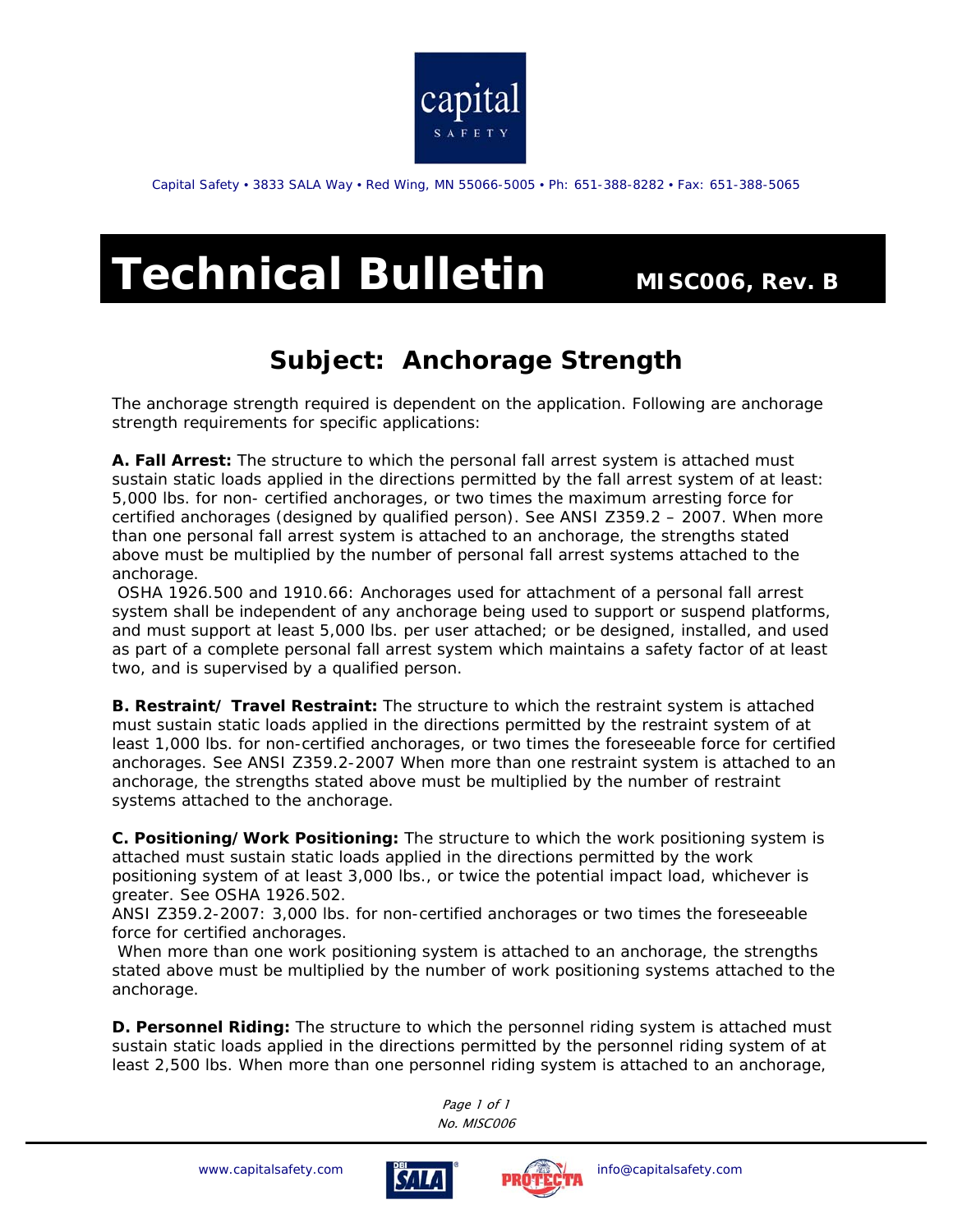

Capital Safety • 3833 SALA Way • Red Wing, MN 55066-5005 • Ph: 651-388-8282 • Fax: 651-388-5065

## **Technical Bulletin MISC006, Rev. B**

## *Subject:* **Anchorage Strength**

The anchorage strength required is dependent on the application. Following are anchorage strength requirements for specific applications:

**A. Fall Arrest:** The structure to which the personal fall arrest system is attached must sustain static loads applied in the directions permitted by the fall arrest system of at least: 5,000 lbs. for non- certified anchorages, or two times the maximum arresting force for certified anchorages (designed by qualified person). See ANSI Z359.2 – 2007. When more than one personal fall arrest system is attached to an anchorage, the strengths stated above must be multiplied by the number of personal fall arrest systems attached to the anchorage.

 OSHA 1926.500 and 1910.66: Anchorages used for attachment of a personal fall arrest system shall be independent of any anchorage being used to support or suspend platforms, and must support at least 5,000 lbs. per user attached; or be designed, installed, and used as part of a complete personal fall arrest system which maintains a safety factor of at least two, and is supervised by a qualified person.

**B. Restraint/ Travel Restraint:** The structure to which the restraint system is attached must sustain static loads applied in the directions permitted by the restraint system of at least 1,000 lbs. for non-certified anchorages, or two times the foreseeable force for certified anchorages. See ANSI Z359.2-2007 When more than one restraint system is attached to an anchorage, the strengths stated above must be multiplied by the number of restraint systems attached to the anchorage.

**C. Positioning/Work Positioning:** The structure to which the work positioning system is attached must sustain static loads applied in the directions permitted by the work positioning system of at least 3,000 lbs., or twice the potential impact load, whichever is greater. See OSHA 1926.502.

ANSI Z359.2-2007: 3,000 lbs. for non-certified anchorages or two times the foreseeable force for certified anchorages.

 When more than one work positioning system is attached to an anchorage, the strengths stated above must be multiplied by the number of work positioning systems attached to the anchorage.

**D. Personnel Riding:** The structure to which the personnel riding system is attached must sustain static loads applied in the directions permitted by the personnel riding system of at least 2,500 lbs. When more than one personnel riding system is attached to an anchorage,

> Page 1 of 1 No. MISC006